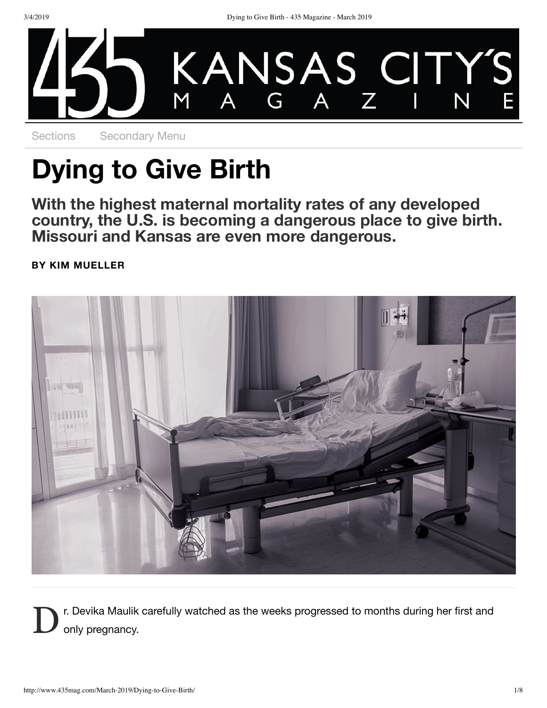

Sections Secondary Menu

# **Dying to Give Birth**

**With the highest maternal mortality rates of any developed** country, the U.S. is becoming a dangerous place to give birth.<br>Missouri and Kansas are even more dangerous.

**BY KIM MUELLER**



D r. Devika Maulik carefully watched as the weeks progressed to months during her first and only pregnancy.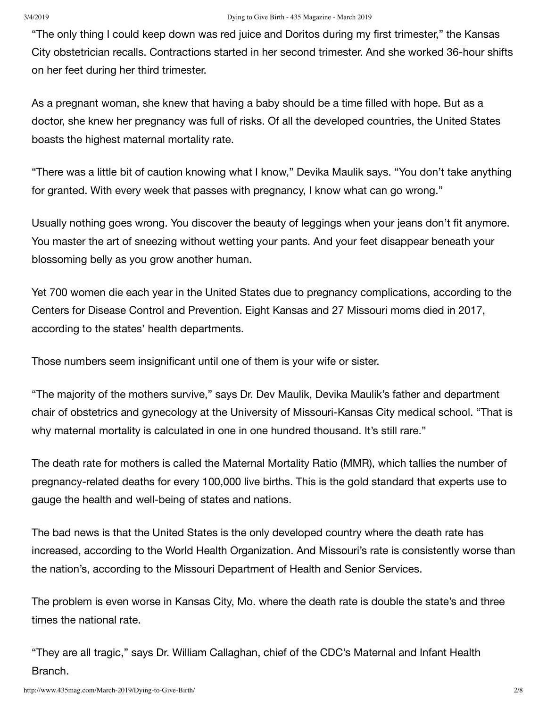"The only thing I could keep down was red juice and Doritos during my first trimester," the Kansas City obstetrician recalls. Contractions started in her second trimester. And she worked 36-hour shifts on her feet during her third trimester.

As a pregnant woman, she knew that having a baby should be a time filled with hope. But as a doctor, she knew her pregnancy was full of risks. Of all the developed countries, the United States boasts the highest maternal mortality rate.

"There was a little bit of caution knowing what I know," Devika Maulik says. "You don't take anything for granted. With every week that passes with pregnancy, I know what can go wrong."

Usually nothing goes wrong. You discover the beauty of leggings when your jeans don't fit anymore. You master the art of sneezing without wetting your pants. And your feet disappear beneath your blossoming belly as you grow another human.

Yet 700 women die each year in the United States due to pregnancy complications, according to the Centers for Disease Control and Prevention. Eight Kansas and 27 Missouri moms died in 2017, according to the states' health departments.

Those numbers seem insignificant until one of them is your wife or sister.

"The majority of the mothers survive," says Dr. Dev Maulik, Devika Maulik's father and department chair of obstetrics and gynecology at the University of Missouri-Kansas City medical school. "That is why maternal mortality is calculated in one in one hundred thousand. It's still rare."

The death rate for mothers is called the Maternal Mortality Ratio (MMR), which tallies the number of pregnancy-related deaths for every 100,000 live births. This is the gold standard that experts use to gauge the health and well-being of states and nations.

The bad news is that the United States is the only developed country where the death rate has increased, according to the World Health Organization. And Missouri's rate is consistently worse than the nation's, according to the Missouri Department of Health and Senior Services.

The problem is even worse in Kansas City, Mo. where the death rate is double the state's and three times the national rate.

"They are all tragic," says Dr. William Callaghan, chief of the CDC's Maternal and Infant Health Branch.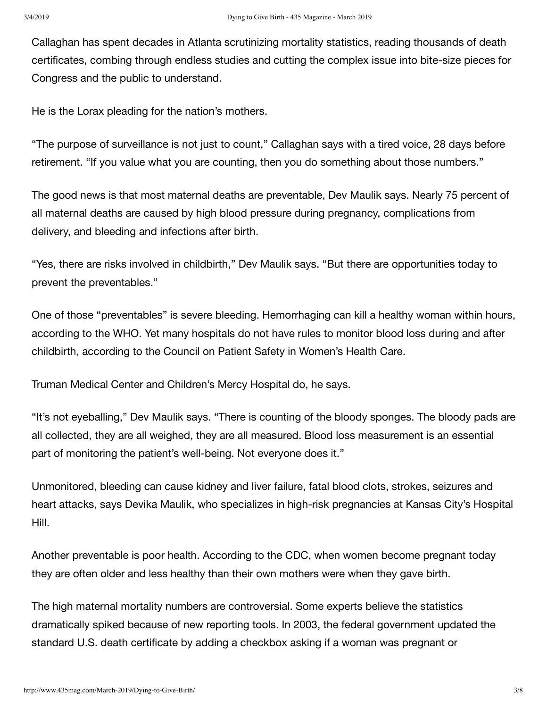Callaghan has spent decades in Atlanta scrutinizing mortality statistics, reading thousands of death certificates, combing through endless studies and cutting the complex issue into bite-size pieces for Congress and the public to understand.

He is the Lorax pleading for the nation's mothers.

"The purpose of surveillance is not just to count," Callaghan says with a tired voice, 28 days before retirement. "If you value what you are counting, then you do something about those numbers."

The good news is that most maternal deaths are preventable, Dev Maulik says. Nearly 75 percent of all maternal deaths are caused by high blood pressure during pregnancy, complications from delivery, and bleeding and infections after birth.

"Yes, there are risks involved in childbirth," Dev Maulik says. "But there are opportunities today to prevent the preventables."

One of those "preventables" is severe bleeding. Hemorrhaging can kill a healthy woman within hours, according to the WHO. Yet many hospitals do not have rules to monitor blood loss during and after childbirth, according to the Council on Patient Safety in Women's Health Care.

Truman Medical Center and Children's Mercy Hospital do, he says.

"It's not eyeballing," Dev Maulik says. "There is counting of the bloody sponges. The bloody pads are all collected, they are all weighed, they are all measured. Blood loss measurement is an essential part of monitoring the patient's well-being. Not everyone does it."

Unmonitored, bleeding can cause kidney and liver failure, fatal blood clots, strokes, seizures and heart attacks, says Devika Maulik, who specializes in high-risk pregnancies at Kansas City's Hospital Hill.

Another preventable is poor health. According to the CDC, when women become pregnant today they are often older and less healthy than their own mothers were when they gave birth.

The high maternal mortality numbers are controversial. Some experts believe the statistics dramatically spiked because of new reporting tools. In 2003, the federal government updated the standard U.S. death certificate by adding a checkbox asking if a woman was pregnant or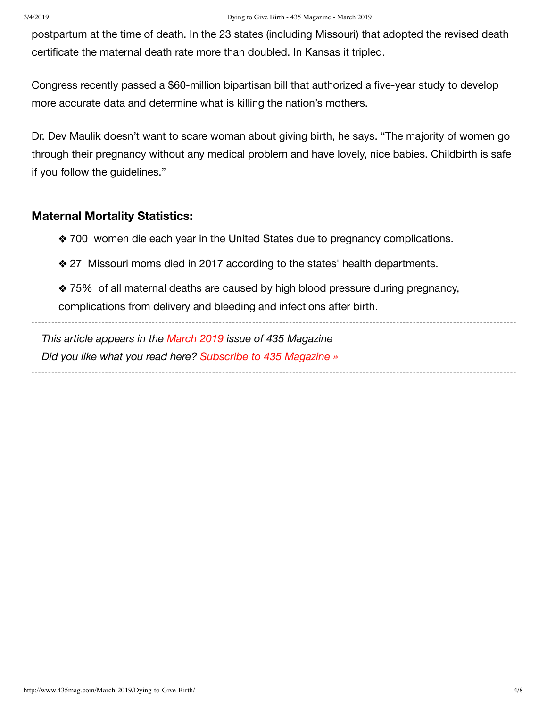postpartum at the time of death. In the 23 states (including Missouri) that adopted the revised death certificate the maternal death rate more than doubled. In Kansas it tripled.

Congress recently passed a \$60-million bipartisan bill that authorized a five-year study to develop more accurate data and determine what is killing the nation's mothers.

Dr. Dev Maulik doesn't want to scare woman about giving birth, he says. "The majority of women go through their pregnancy without any medical problem and have lovely, nice babies. Childbirth is safe if you follow the guidelines."

## **Maternal Mortality Statistics:**

- ◆ 700 women die each year in the United States due to pregnancy complications.
- ◆ 27 Missouri moms died in 2017 according to the states' health departments.
- ◆ 75% of all maternal deaths are caused by high blood pressure during pregnancy, complications from delivery and bleeding and infections after birth.

*This article appears in the March 2019 issue of 435 Magazine Did you like what you read here? Subscribe to 435 Magazine »*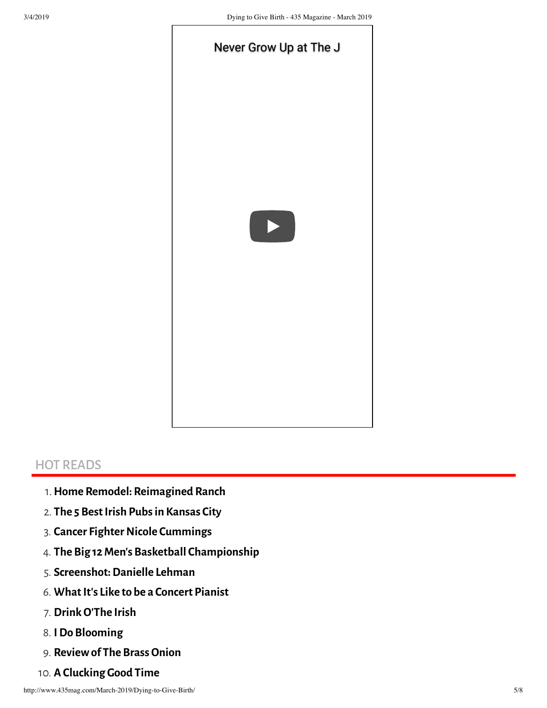

# HOT READS

- 1.**Home Remodel: Reimagined Ranch**
- 2. **The 5 BestIrish Pubs in Kansas City**
- 3. **Cancer Fighter Nicole Cummings**
- 4. **The Big 12Men's Basketball Championship**
- 5. **Screenshot:Danielle Lehman**
- 6. **WhatIt's Like to be a Concert Pianist**
- 7. **DrinkO'The Irish**
- 8. **IDo Blooming**
- 9. **Reviewof The Brass Onion**
- 10. **A Clucking Good Time**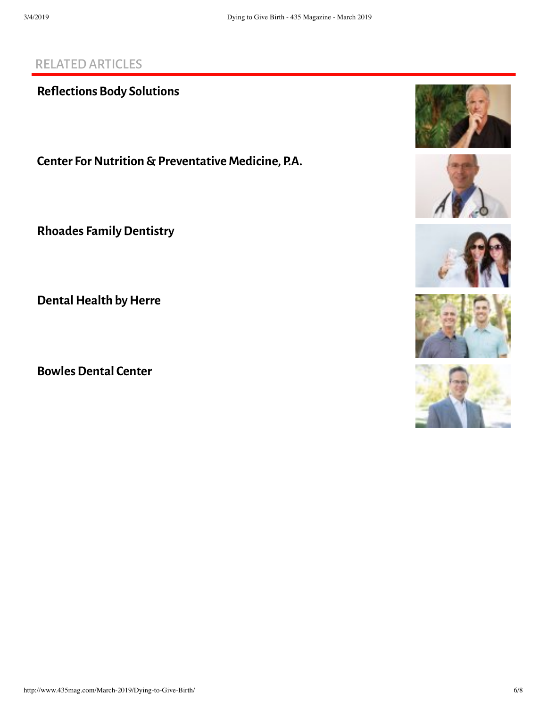# RELATEDARTICLES

**Reflections Body Solutions** 

**Center For Nutrition & Preventative Medicine, P.A.** 

**Rhoades FamilyDentistry**

**Dental Health by Herre** 

**Bowles Dental Center** 









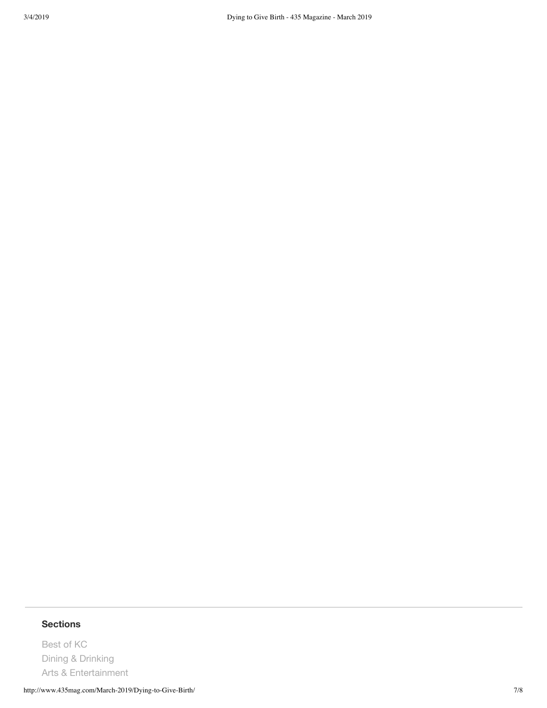# **Sections**

Best of KC Dining & Drinking Arts & Entertainment